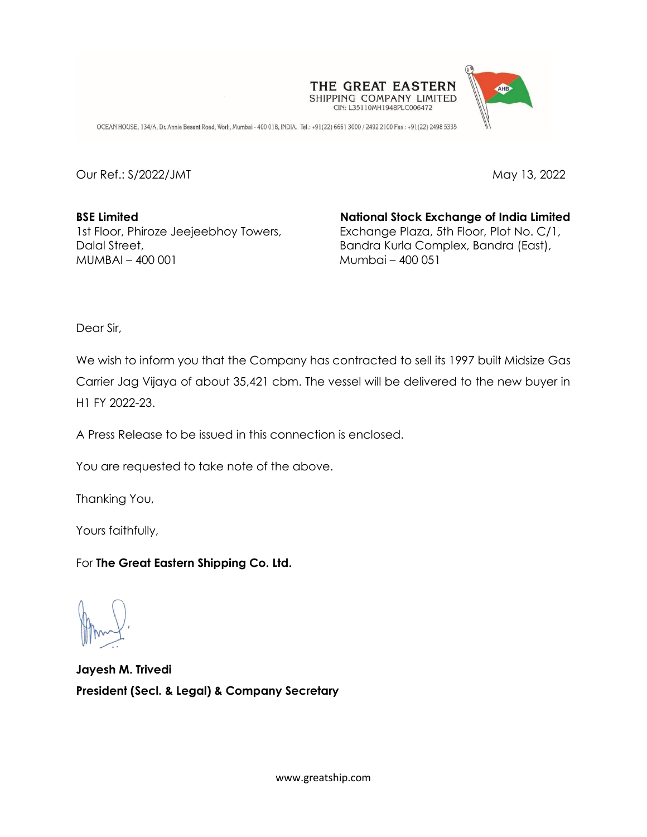

OCEAN HOUSE, 134/A, Dr. Annie Besant Road, Worli, Mumbai - 400 018, INDIA. Tel.: +91(22) 6661 3000 / 2492 2100 Fax: +91(22) 2498 5335

Our Ref.: S/2022/JMT May 13, 2022

**BSE Limited National Stock Exchange of India Limited** MUMBAI – 400 001 Mumbai – 400 051

1st Floor, Phiroze Jeejeebhoy Towers, Exchange Plaza, 5th Floor, Plot No. C/1, Dalal Street, **Bandra Kurla Complex, Bandra (East)**,

Dear Sir,

We wish to inform you that the Company has contracted to sell its 1997 built Midsize Gas Carrier Jag Vijaya of about 35,421 cbm. The vessel will be delivered to the new buyer in H1 FY 2022-23.

A Press Release to be issued in this connection is enclosed.

You are requested to take note of the above.

Thanking You,

Yours faithfully,

For **The Great Eastern Shipping Co. Ltd.** 

**Jayesh M. Trivedi President (Secl. & Legal) & Company Secretary**